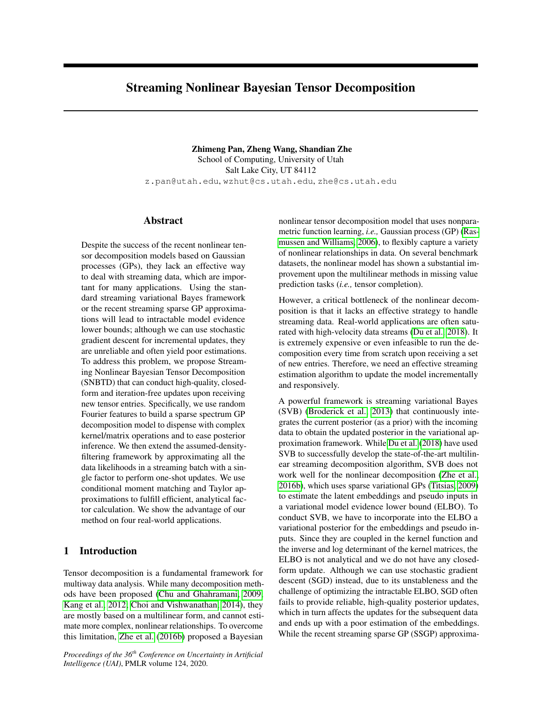# Streaming Nonlinear Bayesian Tensor Decomposition

Zhimeng Pan, Zheng Wang, Shandian Zhe School of Computing, University of Utah Salt Lake City, UT 84112 z.pan@utah.edu, wzhut@cs.utah.edu, zhe@cs.utah.edu

# Abstract

Despite the success of the recent nonlinear tensor decomposition models based on Gaussian processes (GPs), they lack an effective way to deal with streaming data, which are important for many applications. Using the standard streaming variational Bayes framework or the recent streaming sparse GP approximations will lead to intractable model evidence lower bounds; although we can use stochastic gradient descent for incremental updates, they are unreliable and often yield poor estimations. To address this problem, we propose Streaming Nonlinear Bayesian Tensor Decomposition (SNBTD) that can conduct high-quality, closedform and iteration-free updates upon receiving new tensor entries. Specifically, we use random Fourier features to build a sparse spectrum GP decomposition model to dispense with complex kernel/matrix operations and to ease posterior inference. We then extend the assumed-densityfiltering framework by approximating all the data likelihoods in a streaming batch with a single factor to perform one-shot updates. We use conditional moment matching and Taylor approximations to fulfill efficient, analytical factor calculation. We show the advantage of our method on four real-world applications.

# 1 Introduction

Tensor decomposition is a fundamental framework for multiway data analysis. While many decomposition methods have been proposed [\(Chu and Ghahramani, 2009;](#page-9-0) [Kang et al., 2012;](#page-9-1) [Choi and Vishwanathan, 2014\)](#page-9-2), they are mostly based on a multilinear form, and cannot estimate more complex, nonlinear relationships. To overcome this limitation, [Zhe et al.](#page-9-3) [\(2016b\)](#page-9-3) proposed a Bayesian

*Proceedings of the 36th Conference on Uncertainty in Artificial Intelligence (UAI)*, PMLR volume 124, 2020.

nonlinear tensor decomposition model that uses nonparametric function learning, *i.e.,* Gaussian process (GP) [\(Ras](#page-9-4)[mussen and Williams, 2006\)](#page-9-4), to flexibly capture a variety of nonlinear relationships in data. On several benchmark datasets, the nonlinear model has shown a substantial improvement upon the multilinear methods in missing value prediction tasks (*i.e.,* tensor completion).

However, a critical bottleneck of the nonlinear decomposition is that it lacks an effective strategy to handle streaming data. Real-world applications are often saturated with high-velocity data streams [\(Du et al., 2018\)](#page-9-5). It is extremely expensive or even infeasible to run the decomposition every time from scratch upon receiving a set of new entries. Therefore, we need an effective streaming estimation algorithm to update the model incrementally and responsively.

A powerful framework is streaming variational Bayes (SVB) [\(Broderick et al., 2013\)](#page-9-6) that continuously integrates the current posterior (as a prior) with the incoming data to obtain the updated posterior in the variational approximation framework. While [Du et al.](#page-9-5) [\(2018\)](#page-9-5) have used SVB to successfully develop the state-of-the-art multilinear streaming decomposition algorithm, SVB does not work well for the nonlinear decomposition [\(Zhe et al.,](#page-9-3) [2016b\)](#page-9-3), which uses sparse variational GPs [\(Titsias, 2009\)](#page-9-7) to estimate the latent embeddings and pseudo inputs in a variational model evidence lower bound (ELBO). To conduct SVB, we have to incorporate into the ELBO a variational posterior for the embeddings and pseudo inputs. Since they are coupled in the kernel function and the inverse and log determinant of the kernel matrices, the ELBO is not analytical and we do not have any closedform update. Although we can use stochastic gradient descent (SGD) instead, due to its unstableness and the challenge of optimizing the intractable ELBO, SGD often fails to provide reliable, high-quality posterior updates, which in turn affects the updates for the subsequent data and ends up with a poor estimation of the embeddings. While the recent streaming sparse GP (SSGP) approxima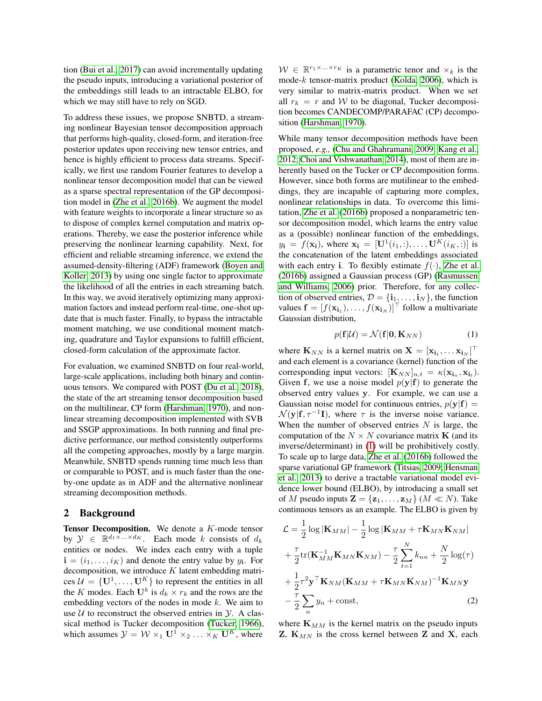tion [\(Bui et al., 2017\)](#page-9-8) can avoid incrementally updating the pseudo inputs, introducing a variational posterior of the embeddings still leads to an intractable ELBO, for which we may still have to rely on SGD.

To address these issues, we propose SNBTD, a streaming nonlinear Bayesian tensor decomposition approach that performs high-quality, closed-form, and iteration-free posterior updates upon receiving new tensor entries, and hence is highly efficient to process data streams. Specifically, we first use random Fourier features to develop a nonlinear tensor decomposition model that can be viewed as a sparse spectral representation of the GP decomposition model in [\(Zhe et al., 2016b\)](#page-9-3). We augment the model with feature weights to incorporate a linear structure so as to dispose of complex kernel computation and matrix operations. Thereby, we ease the posterior inference while preserving the nonlinear learning capability. Next, for efficient and reliable streaming inference, we extend the assumed-density-filtering (ADF) framework [\(Boyen and](#page-9-9) [Koller, 2013\)](#page-9-9) by using one single factor to approximate the likelihood of all the entries in each streaming batch. In this way, we avoid iteratively optimizing many approximation factors and instead perform real-time, one-shot update that is much faster. Finally, to bypass the intractable moment matching, we use conditional moment matching, quadrature and Taylor expansions to fulfill efficient, closed-form calculation of the approximate factor.

For evaluation, we examined SNBTD on four real-world, large-scale applications, including both binary and continuous tensors. We compared with POST [\(Du et al., 2018\)](#page-9-5), the state of the art streaming tensor decomposition based on the multilinear, CP form [\(Harshman, 1970\)](#page-9-10), and nonlinear streaming decomposition implemented with SVB and SSGP approximations. In both running and final predictive performance, our method consistently outperforms all the competing approaches, mostly by a large margin. Meanwhile, SNBTD spends running time much less than or comparable to POST, and is much faster than the oneby-one update as in ADF and the alternative nonlinear streaming decomposition methods.

# 2 Background

**Tensor Decomposition.** We denote a  $K$ -mode tensor by  $\mathcal{Y} \in \mathbb{R}^{d_1 \times \ldots \times d_K}$ . Each mode k consists of  $d_k$ entities or nodes. We index each entry with a tuple  $\mathbf{i} = (i_1, \dots, i_K)$  and denote the entry value by  $y_i$ . For decomposition, we introduce  $K$  latent embedding matrices  $\mathcal{U} = \{U^1, \dots, U^K\}$  to represent the entities in all the K modes. Each  $\mathbf{U}^k$  is  $d_k \times r_k$  and the rows are the embedding vectors of the nodes in mode  $k$ . We aim to use  $U$  to reconstruct the observed entries in  $Y$ . A classical method is Tucker decomposition [\(Tucker, 1966\)](#page-9-11), which assumes  $\mathcal{Y} = \mathcal{W} \times_1 \mathbf{U}^1 \times_2 \ldots \times_K \mathbf{U}^K$ , where

 $W \in \mathbb{R}^{r_1 \times \ldots \times r_K}$  is a parametric tenor and  $\times_k$  is the mode-k tensor-matrix product [\(Kolda, 2006\)](#page-9-12), which is very similar to matrix-matrix product. When we set all  $r_k = r$  and W to be diagonal, Tucker decomposition becomes CANDECOMP/PARAFAC (CP) decomposition [\(Harshman, 1970\)](#page-9-10).

While many tensor decomposition methods have been proposed, *e.g.,* [\(Chu and Ghahramani, 2009;](#page-9-0) [Kang et al.,](#page-9-1) [2012;](#page-9-1) [Choi and Vishwanathan, 2014\)](#page-9-2), most of them are inherently based on the Tucker or CP decomposition forms. However, since both forms are mutilinear to the embeddings, they are incapable of capturing more complex, nonlinear relationships in data. To overcome this limitation, [Zhe et al.](#page-9-3) [\(2016b\)](#page-9-3) proposed a nonparametric tensor decomposition model, which learns the entry value as a (possible) nonlinear function of the embeddings,  $y_{\mathbf{i}} = f(\mathbf{x}_{\mathbf{i}})$ , where  $\mathbf{x}_{\mathbf{i}} = [\mathbf{U}^1(i_1, :), \dots, \mathbf{U}^K(i_K, :)]$  is the concatenation of the latent embeddings associated with each entry i. To flexibly estimate  $f(\cdot)$ , [Zhe et al.](#page-9-3) [\(2016b\)](#page-9-3) assigned a Gaussian process (GP) [\(Rasmussen](#page-9-4) [and Williams, 2006\)](#page-9-4) prior. Therefore, for any collection of observed entries,  $\mathcal{D} = {\mathbf{i}_1, \dots, \mathbf{i}_N}$ , the function values  $\mathbf{f} = [f(\mathbf{x}_{i_1}), \dots, f(\mathbf{x}_{i_N})]^\top$  follow a multivariate Gaussian distribution,

<span id="page-1-0"></span>
$$
p(\mathbf{f}|\mathcal{U}) = \mathcal{N}(\mathbf{f}|\mathbf{0}, \mathbf{K}_{NN})
$$
 (1)

where  $\mathbf{K}_{NN}$  is a kernel matrix on  $\mathbf{X} = [\mathbf{x}_{i_1}, \dots \mathbf{x}_{i_N}]^\top$ and each element is a covariance (kernel) function of the corresponding input vectors:  $[\mathbf{K}_{NN}]_{n,t} = \kappa(\mathbf{x}_{i_n}, \mathbf{x}_{i_t}).$ Given f, we use a noise model  $p(y|f)$  to generate the observed entry values y. For example, we can use a Gaussian noise model for continuous entries,  $p(y|f)$  =  $\mathcal{N}(\mathbf{y}|\mathbf{f}, \tau^{-1}\mathbf{I})$ , where  $\tau$  is the inverse noise variance. When the number of observed entries  $N$  is large, the computation of the  $N \times N$  covariance matrix **K** (and its inverse/determinant) in [\(1\)](#page-1-0) will be prohibitively costly. To scale up to large data, [Zhe et al.](#page-9-3) [\(2016b\)](#page-9-3) followed the sparse variational GP framework [\(Titsias, 2009;](#page-9-7) [Hensman](#page-9-13) [et al., 2013\)](#page-9-13) to derive a tractable variational model evidence lower bound (ELBO), by introducing a small set of M pseudo inputs  $\mathbf{Z} = {\mathbf{z}_1, \dots, \mathbf{z}_M}$   $(M \ll N)$ . Take continuous tensors as an example. The ELBO is given by

$$
\mathcal{L} = \frac{1}{2} \log |\mathbf{K}_{MM}| - \frac{1}{2} \log |\mathbf{K}_{MM} + \tau \mathbf{K}_{MN} \mathbf{K}_{NM}|
$$
  
+ 
$$
\frac{\tau}{2} \text{tr}(\mathbf{K}_{MM}^{-1} \mathbf{K}_{MN} \mathbf{K}_{NM}) - \frac{\tau}{2} \sum_{t=1}^{N} k_{nn} + \frac{N}{2} \log(\tau)
$$
  
+ 
$$
\frac{1}{2} \tau^2 \mathbf{y}^\top \mathbf{K}_{NM} (\mathbf{K}_{MM} + \tau \mathbf{K}_{MN} \mathbf{K}_{NM})^{-1} \mathbf{K}_{MN} \mathbf{y}
$$
  
- 
$$
\frac{\tau}{2} \sum_{n} y_n + \text{const},
$$
 (2)

<span id="page-1-1"></span>where  $\mathbf{K}_{MM}$  is the kernel matrix on the pseudo inputs  $\mathbf{Z}, \mathbf{K}_{MN}$  is the cross kernel between  $\mathbf{Z}$  and  $\mathbf{X}$ , each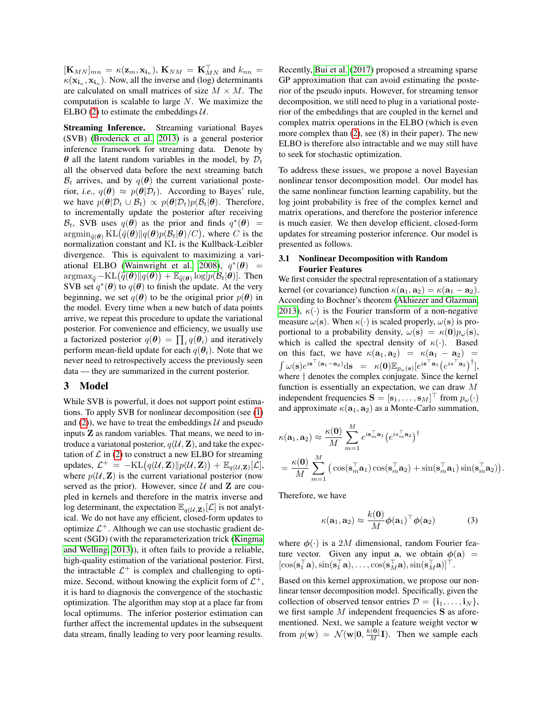$[\mathbf{K}_{MN}]_{mn} = \kappa(\mathbf{z}_m, \mathbf{x}_{\mathbf{i}_n}), \mathbf{K}_{NM} = \mathbf{K}_{MN}^{\top}$  and  $k_{nn} =$  $\kappa(\mathbf{x}_{i_n}, \mathbf{x}_{i_n})$ . Now, all the inverse and (log) determinants are calculated on small matrices of size  $M \times M$ . The computation is scalable to large  $N$ . We maximize the ELBO [\(2\)](#page-1-1) to estimate the embeddings  $U$ .

Streaming Inference. Streaming variational Bayes (SVB) [\(Broderick et al., 2013\)](#page-9-6) is a general posterior inference framework for streaming data. Denote by  $\theta$  all the latent random variables in the model, by  $\mathcal{D}_t$ all the observed data before the next streaming batch  $\mathcal{B}_t$  arrives, and by  $q(\theta)$  the current variational posterior, *i.e.*,  $q(\theta) \approx p(\theta | \mathcal{D}_t)$ . According to Bayes' rule, we have  $p(\theta | \mathcal{D}_t \cup \mathcal{B}_t) \propto p(\theta | \mathcal{D}_t) p(\mathcal{B}_t | \theta)$ . Therefore, to incrementally update the posterior after receiving  $\mathcal{B}_t$ , SVB uses  $q(\theta)$  as the prior and finds  $q^*(\theta)$  =  $\mathrm{argmin}_{\hat{q}(\bm{\theta})} \, \mathrm{KL}\big(\hat{q}(\bm{\theta})\|q(\bm{\theta})p(\mathcal{B}_t|\bm{\theta})/C\big),$  where  $C$  is the normalization constant and KL is the Kullback-Leibler divergence. This is equivalent to maximizing a vari-ational ELBO [\(Wainwright et al., 2008\)](#page-9-14),  $q^*(\theta)$  =  $\arg \max_{\hat{q}} -KL(\hat{q}(\boldsymbol{\theta}) || q(\boldsymbol{\theta})) + \mathbb{E}_{\hat{q}(\boldsymbol{\theta})}\log[p(\mathcal{B}_t | \boldsymbol{\theta})].$  Then SVB set  $a^*(\boldsymbol{\theta})$  to  $g(\boldsymbol{\theta})$  to finish the undate. At the very SVB set  $q^*(\theta)$  to  $q(\theta)$  to finish the update. At the very beginning, we set  $q(\theta)$  to be the original prior  $p(\theta)$  in the model. Every time when a new batch of data points arrive, we repeat this procedure to update the variational posterior. For convenience and efficiency, we usually use a factorized posterior  $q(\theta) = \prod_i q(\theta_i)$  and iteratively perform mean-field update for each  $q(\theta_i)$ . Note that we never need to retrospectively access the previously seen data — they are summarized in the current posterior.

## 3 Model

While SVB is powerful, it does not support point estimations. To apply SVB for nonlinear decomposition (see [\(1\)](#page-1-0) and [\(2\)](#page-1-1)), we have to treat the embeddings  $U$  and pseudo inputs Z as random variables. That means, we need to introduce a variatonal posterior,  $q(\mathcal{U}, \mathbf{Z})$ , and take the expectation of  $\mathcal L$  in [\(2\)](#page-1-1) to construct a new ELBO for streaming updates,  $\mathcal{L}^+ = - \mathrm{KL}\big(q(\mathcal{U}, \mathbf{Z}) \| p(\mathcal{U}, \mathbf{Z})\big) + \mathbb{E}_{q(\mathcal{U}, \mathbf{Z})}[\mathcal{L}],$ where  $p(U, Z)$  is the current variational posterior (now served as the prior). However, since  $U$  and  $Z$  are coupled in kernels and therefore in the matrix inverse and log determinant, the expectation  $\mathbb{E}_{q(\mathcal{U},\mathbf{Z})}[\mathcal{L}]$  is not analytical. We do not have any efficient, closed-form updates to optimize  $\mathcal{L}^+$ . Although we can use stochastic gradient descent (SGD) (with the reparameterization trick [\(Kingma](#page-9-15) [and Welling, 2013\)](#page-9-15)), it often fails to provide a reliable, high-quality estimation of the variational posterior. First, the intractable  $\mathcal{L}^+$  is complex and challenging to optimize. Second, without knowing the explicit form of  $\mathcal{L}^+$ , it is hard to diagnosis the convergence of the stochastic optimization. The algorithm may stop at a place far from local optimums. The inferior posterior estimation can further affect the incremental updates in the subsequent data stream, finally leading to very poor learning results.

Recently, [Bui et al.](#page-9-8) [\(2017\)](#page-9-8) proposed a streaming sparse GP approximation that can avoid estimating the posterior of the pseudo inputs. However, for streaming tensor decomposition, we still need to plug in a variational posterior of the embeddings that are coupled in the kernel and complex matrix operations in the ELBO (which is even more complex than [\(2\)](#page-1-1), see (8) in their paper). The new ELBO is therefore also intractable and we may still have to seek for stochastic optimization.

To address these issues, we propose a novel Bayesian nonlinear tensor decomposition model. Our model has the same nonlinear function learning capability, but the log joint probability is free of the complex kernel and matrix operations, and therefore the posterior inference is much easier. We then develop efficient, closed-form updates for streaming posterior inference. Our model is presented as follows.

#### 3.1 Nonlinear Decomposition with Random Fourier Features

We first consider the spectral representation of a stationary kernel (or covariance) function  $\kappa(\mathbf{a}_1, \mathbf{a}_2) = \kappa(\mathbf{a}_1 - \mathbf{a}_2)$ . According to Bochner's theorem [\(Akhiezer and Glazman,](#page-9-16) [2013\)](#page-9-16),  $\kappa(\cdot)$  is the Fourier transform of a non-negative measure  $\omega(\mathbf{s})$ . When  $\kappa(\cdot)$  is scaled properly,  $\omega(\mathbf{s})$  is proportional to a probability density,  $\omega(\mathbf{s}) = \kappa(\mathbf{0})p_{\omega}(\mathbf{s}),$ which is called the spectral density of  $\kappa(\cdot)$ . Based on this fact, we have  $\kappa(\mathbf{a}_1, \mathbf{a}_2) = \kappa(\mathbf{a}_1 - \mathbf{a}_2) =$  $\int \omega(\mathbf{s}) e^{i\mathbf{s}^\top(\mathbf{a}_1-\mathbf{a}_2)} d\mathbf{s} = \kappa(\mathbf{0}) \mathbb{E}_{p_\omega(\mathbf{s})} [e^{i\mathbf{s}^\top \mathbf{a}_1} (e^{i\mathbf{s}^\top \mathbf{a}_2})^\dagger],$ where † denotes the complex conjugate. Since the kernel function is essentially an expectation, we can draw M independent frequencies  $\mathbf{S} = [\mathbf{s}_1, \dots, \mathbf{s}_M]^\top$  from  $p_\omega(\cdot)$ and approximate  $\kappa(\mathbf{a}_1, \mathbf{a}_2)$  as a Monte-Carlo summation,

$$
\kappa(\mathbf{a}_1, \mathbf{a}_2) \approx \frac{\kappa(\mathbf{0})}{M} \sum_{m=1}^M e^{i\mathbf{s}_m^{\top} \mathbf{a}_1} (e^{i\mathbf{s}_m^{\top} \mathbf{a}_2})^{\dagger}
$$

$$
= \frac{\kappa(\mathbf{0})}{M} \sum_{m=1}^M \left( \cos(\mathbf{s}_m^{\top} \mathbf{a}_1) \cos(\mathbf{s}_m^{\top} \mathbf{a}_2) + \sin(\mathbf{s}_m^{\top} \mathbf{a}_1) \sin(\mathbf{s}_m^{\top} \mathbf{a}_2) \right)
$$

Therefore, we have

$$
\kappa(\mathbf{a}_1, \mathbf{a}_2) \approx \frac{k(\mathbf{0})}{M} \phi(\mathbf{a}_1)^\top \phi(\mathbf{a}_2)
$$
 (3)

<span id="page-2-0"></span>.

where  $\phi(\cdot)$  is a 2M dimensional, random Fourier feature vector. Given any input a, we obtain  $\phi(\mathbf{a})$  =  $[\cos(\mathbf{s}_1^{\top}\mathbf{a}), \sin(\mathbf{s}_1^{\top}\mathbf{a}), \dots, \cos(\mathbf{s}_M^{\top}\mathbf{a}), \sin(\mathbf{s}_M^{\top}\mathbf{a})]^{\top}.$ 

Based on this kernel approximation, we propose our nonlinear tensor decomposition model. Specifically, given the collection of observed tensor entries  $\mathcal{D} = {\bf i}_1, \dots, {\bf i}_N$ , we first sample  $M$  independent frequencies  $S$  as aforementioned. Next, we sample a feature weight vector w from  $p(\mathbf{w}) = \mathcal{N}(\mathbf{w}|\mathbf{0}, \frac{k(\mathbf{0})}{M}\mathbf{I})$ . Then we sample each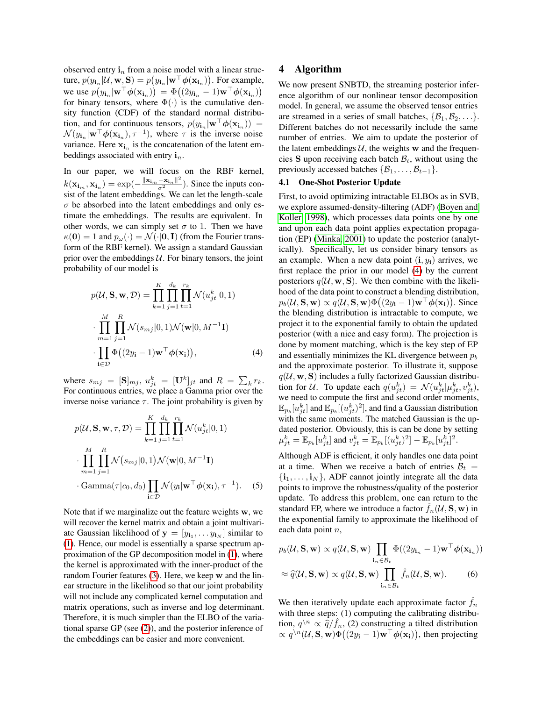observed entry  $\mathbf{i}_n$  from a noise model with a linear structure,  $p(y_{i_n} | \mathcal{U}, \mathbf{w}, \mathbf{S}) = p(y_{i_n} | \mathbf{w}^\top \boldsymbol{\phi}(\mathbf{x_{i_n}}))$ . For example, we use  $p(y_{\mathbf{i}_n}|\mathbf{w}^\top \boldsymbol{\phi}(\mathbf{x}_{\mathbf{i}_n})) = \Phi((2y_{\mathbf{i}_n} - 1)\mathbf{w}^\top \boldsymbol{\phi}(\mathbf{x}_{\mathbf{i}_n}))$ for binary tensors, where  $\Phi(\cdot)$  is the cumulative density function (CDF) of the standard normal distribution, and for continuous tensors,  $p(y_{i_n}|\mathbf{w}^\top \boldsymbol{\phi}(\mathbf{x_{i_n}}))$  =  $\mathcal{N}(y_{i_n}|\mathbf{w}^{\top}\boldsymbol{\phi}(\mathbf{x}_{i_n}), \tau^{-1}),$  where  $\tau$  is the inverse noise variance. Here  $x_{i_n}$  is the concatenation of the latent embeddings associated with entry  $\mathbf{i}_n$ .

In our paper, we will focus on the RBF kernel,  $k(\mathbf{x_{i_m}}, \mathbf{x_{i_n}}) = \exp(-\frac{\|\mathbf{x_{i_m}} - \mathbf{x_{i_n}}\|^2}{\sigma^2})$ . Since the inputs consist of the latent embeddings. We can let the length-scale  $\sigma$  be absorbed into the latent embeddings and only estimate the embeddings. The results are equivalent. In other words, we can simply set  $\sigma$  to 1. Then we have  $\kappa(\mathbf{0}) = 1$  and  $p_{\omega}(\cdot) = \mathcal{N}(\cdot | \mathbf{0}, \mathbf{I})$  (from the Fourier transform of the RBF kernel). We assign a standard Gaussian prior over the embeddings  $U$ . For binary tensors, the joint probability of our model is

$$
p(\mathcal{U}, \mathbf{S}, \mathbf{w}, \mathcal{D}) = \prod_{k=1}^{K} \prod_{j=1}^{d_k} \prod_{t=1}^{r_k} \mathcal{N}(u_{jt}^k | 0, 1)
$$

$$
\cdot \prod_{m=1}^{M} \prod_{j=1}^{R} \mathcal{N}(s_{mj} | 0, 1) \mathcal{N}(\mathbf{w} | 0, M^{-1} \mathbf{I})
$$

$$
\cdot \prod_{i \in \mathcal{D}} \Phi((2y_i - 1)\mathbf{w}^\top \phi(\mathbf{x}_i)), \tag{4}
$$

where  $s_{mj} = [\mathbf{S}]_{mj}$ ,  $u_{jt}^k = [\mathbf{U}^k]_{jt}$  and  $R = \sum_k r_k$ . For continuous entries, we place a Gamma prior over the inverse noise variance  $\tau$ . The joint probability is given by

$$
p(\mathcal{U}, \mathbf{S}, \mathbf{w}, \tau, \mathcal{D}) = \prod_{k=1}^{K} \prod_{j=1}^{d_k} \prod_{t=1}^{r_k} \mathcal{N}(u_{jt}^k | 0, 1)
$$

$$
\cdot \prod_{m=1}^{M} \prod_{j=1}^{R} \mathcal{N}(s_{mj} | 0, 1) \mathcal{N}(\mathbf{w} | 0, M^{-1} \mathbf{I})
$$

$$
\cdot \text{Gamma}(\tau | c_0, d_0) \prod_{\mathbf{i} \in \mathcal{D}} \mathcal{N}(y_{\mathbf{i}} | \mathbf{w}^\top \boldsymbol{\phi}(\mathbf{x}_{\mathbf{i}}), \tau^{-1}). \quad (5)
$$

Note that if we marginalize out the feature weights w, we will recover the kernel matrix and obtain a joint multivariate Gaussian likelihood of  $y = [y_{i_1}, \dots y_{i_N}]$  similar to [\(1\)](#page-1-0). Hence, our model is essentially a sparse spectrum approximation of the GP decomposition model in [\(1\)](#page-1-0), where the kernel is approximated with the inner-product of the random Fourier features [\(3\)](#page-2-0). Here, we keep w and the linear structure in the likelihood so that our joint probability will not include any complicated kernel computation and matrix operations, such as inverse and log determinant. Therefore, it is much simpler than the ELBO of the variational sparse GP (see [\(2\)](#page-1-1)), and the posterior inference of the embeddings can be easier and more convenient.

### 4 Algorithm

We now present SNBTD, the streaming posterior inference algorithm of our nonlinear tensor decomposition model. In general, we assume the observed tensor entries are streamed in a series of small batches,  $\{\mathcal{B}_1, \mathcal{B}_2, \ldots\}$ . Different batches do not necessarily include the same number of entries. We aim to update the posterior of the latent embeddings  $U$ , the weights w and the frequencies S upon receiving each batch  $\mathcal{B}_t$ , without using the previously accessed batches  $\{\mathcal{B}_1, \ldots, \mathcal{B}_{t-1}\}.$ 

#### <span id="page-3-3"></span>4.1 One-Shot Posterior Update

First, to avoid optimizing intractable ELBOs as in SVB, we explore assumed-density-filtering (ADF) [\(Boyen and](#page-9-17) [Koller, 1998\)](#page-9-17), which processes data points one by one and upon each data point applies expectation propagation (EP) [\(Minka, 2001\)](#page-9-18) to update the posterior (analytically). Specifically, let us consider binary tensors as an example. When a new data point  $(i, y_i)$  arrives, we first replace the prior in our model [\(4\)](#page-3-0) by the current posteriors  $q(\mathcal{U}, \mathbf{w}, \mathbf{S})$ . We then combine with the likelihood of the data point to construct a blending distribution,  $p_b(\mathcal{U}, \mathbf{S}, \mathbf{w}) \propto q(\mathcal{U}, \mathbf{S}, \mathbf{w}) \Phi((2y_i - 1)\mathbf{w}^\top \boldsymbol{\phi}(\mathbf{x_i})).$  Since the blending distribution is intractable to compute, we project it to the exponential family to obtain the updated posterior (with a nice and easy form). The projection is done by moment matching, which is the key step of EP and essentially minimizes the KL divergence between  $p_b$ and the approximate posterior. To illustrate it, suppose  $q(\mathcal{U}, \mathbf{w}, \mathbf{S})$  includes a fully factorized Gaussian distribution for U. To update each  $q(u_{jt}^k) = \mathcal{N}(u_{jt}^k | \mu_{jt}^k, v_{jt}^k),$ we need to compute the first and second order moments,  $\mathbb{E}_{p_b}[u^{k}_{jt}]$  and  $\mathbb{E}_{p_b}[(u^{k}_{jt})^2]$ , and find a Gaussian distribution with the same moments. The matched Gaussian is the updated posterior. Obviously, this is can be done by setting  $\mu_{jt}^k = \mathbb{E}_{p_b}[u_{jt}^k]$  and  $v_{jt}^k = \mathbb{E}_{p_b}[(u_{jt}^k)^2] - \mathbb{E}_{p_b}[u_{jt}^k]^2$ .

<span id="page-3-1"></span><span id="page-3-0"></span>Although ADF is efficient, it only handles one data point at a time. When we receive a batch of entries  $B_t =$  $\{i_1, \ldots, i_N\}$ , ADF cannot jointly integrate all the data points to improve the robustness/quality of the posterior update. To address this problem, one can return to the standard EP, where we introduce a factor  $f_n(\mathcal{U}, \mathbf{S}, \mathbf{w})$  in the exponential family to approximate the likelihood of each data point *n*,

<span id="page-3-2"></span>
$$
p_b(\mathcal{U}, \mathbf{S}, \mathbf{w}) \propto q(\mathcal{U}, \mathbf{S}, \mathbf{w}) \prod_{\mathbf{i}_n \in \mathcal{B}_t} \Phi((2y_{\mathbf{i}_n} - 1)\mathbf{w}^\top \phi(\mathbf{x}_{\mathbf{i}_n}))
$$
  
\n
$$
\approx \widehat{q}(\mathcal{U}, \mathbf{S}, \mathbf{w}) \propto q(\mathcal{U}, \mathbf{S}, \mathbf{w}) \prod_{\mathbf{i}_n \in \mathcal{B}_t} \widehat{f}_n(\mathcal{U}, \mathbf{S}, \mathbf{w}).
$$
 (6)

We then iteratively update each approximate factor  $f_n$ with three steps: (1) computing the calibrating distribution,  $q^{n} \propto \hat{q}/\hat{f}_n$ , (2) constructing a tilted distribution<br>  $\propto a^{n} (U \mathbf{S} \mathbf{w}) \Phi((2u - 1)\mathbf{w}^{\top} \phi(\mathbf{x}))$  then projecting  $\propto q^{n}(\mathcal{U}, \mathbf{S}, \mathbf{w}) \Phi((2y_i - 1)\mathbf{w}^\top \boldsymbol{\phi}(\mathbf{x_i})),$  then projecting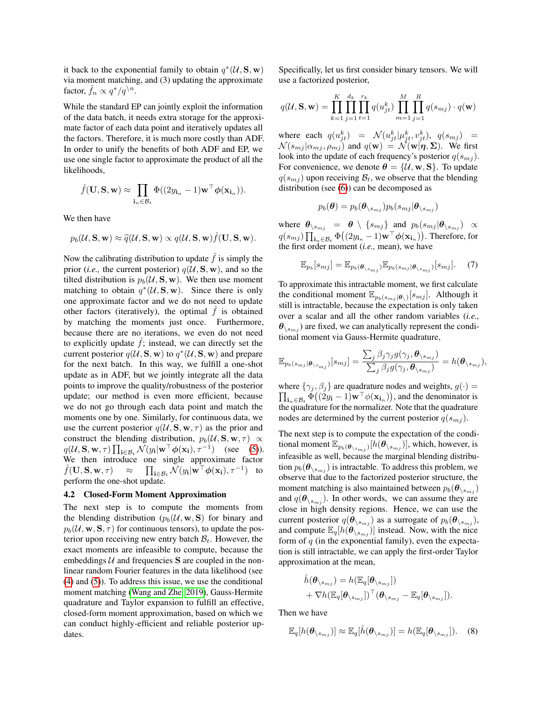it back to the exponential family to obtain  $q^*(\mathcal{U}, \mathbf{S}, \mathbf{w})$ via moment matching, and (3) updating the approximate factor,  $\hat{f}_n \propto q^*/q^{\setminus n}$ .

While the standard EP can jointly exploit the information of the data batch, it needs extra storage for the approximate factor of each data point and iteratively updates all the factors. Therefore, it is much more costly than ADF. In order to unify the benefits of both ADF and EP, we use one single factor to approximate the product of all the likelihoods,

$$
\hat{f}(\mathbf{U}, \mathbf{S}, \mathbf{w}) \approx \prod_{\mathbf{i}_n \in \mathcal{B}_t} \Phi((2y_{\mathbf{i}_n} - 1)\mathbf{w}^\top \boldsymbol{\phi}(\mathbf{x}_{\mathbf{i}_n})).
$$

We then have

$$
p_b(\mathcal{U}, \mathbf{S}, \mathbf{w}) \approx \hat{q}(\mathcal{U}, \mathbf{S}, \mathbf{w}) \propto q(\mathcal{U}, \mathbf{S}, \mathbf{w}) \hat{f}(\mathbf{U}, \mathbf{S}, \mathbf{w}).
$$

Now the calibrating distribution to update  $\hat{f}$  is simply the prior (*i.e.*, the current posterior)  $q(\mathcal{U}, \mathbf{S}, \mathbf{w})$ , and so the tilted distribution is  $p_b(\mathcal{U}, S, w)$ . We then use moment matching to obtain  $q^*(\mathcal{U}, \mathbf{S}, \mathbf{w})$ . Since there is only one approximate factor and we do not need to update other factors (iteratively), the optimal  $\hat{f}$  is obtained by matching the moments just once. Furthermore, because there are no iterations, we even do not need to explicitly update  $f$ ; instead, we can directly set the current posterior  $q(\mathcal{U}, \mathbf{S}, \mathbf{w})$  to  $q^*(\mathcal{U}, \mathbf{S}, \mathbf{w})$  and prepare for the next batch. In this way, we fulfill a one-shot update as in ADF, but we jointly integrate all the data points to improve the quality/robustness of the posterior update; our method is even more efficient, because we do not go through each data point and match the moments one by one. Similarly, for continuous data, we use the current posterior  $q(\mathcal{U}, \mathbf{S}, \mathbf{w}, \tau)$  as the prior and construct the blending distribution,  $p_b(\mathcal{U}, S, w, \tau) \propto$  $q(\mathcal{U}, \mathbf{S}, \mathbf{w}, \tau) \prod_{\mathbf{i} \in \mathcal{B}_t} \mathcal{N}(y_{\mathbf{i}} | \mathbf{w}^\top \boldsymbol{\phi}(\mathbf{x}_\mathbf{i}), \tau^{-1})$  (see [\(5\)](#page-3-1)). We then introduce one single approximate factor  $f({\bf U},{\bf S},{\bf w},\tau)$  $\prod_{\mathbf{i}\in\mathcal{B}_t}\mathcal{N}(y_\mathbf{i}|\mathbf{w}^\top\boldsymbol{\phi}(\mathbf{x_i}),\tau^{-1})$  to perform the one-shot update.

## 4.2 Closed-Form Moment Approximation

The next step is to compute the moments from the blending distribution  $(p_b(\mathcal{U}, \mathbf{w}, \mathbf{S}))$  for binary and  $p_b(\mathcal{U}, \mathbf{w}, \mathbf{S}, \tau)$  for continuous tensors), to update the posterior upon receiving new entry batch  $\mathcal{B}_t$ . However, the exact moments are infeasible to compute, because the embeddings  $U$  and frequencies **S** are coupled in the nonlinear random Fourier features in the data likelihood (see [\(4\)](#page-3-0) and [\(5\)](#page-3-1)). To address this issue, we use the conditional moment matching [\(Wang and Zhe, 2019\)](#page-9-19), Gauss-Hermite quadrature and Taylor expansion to fulfill an effective, closed-form moment approximation, based on which we can conduct highly-efficient and reliable posterior updates.

Specifically, let us first consider binary tensors. We will use a factorized posterior,

$$
q(\mathcal{U}, \mathbf{S}, \mathbf{w}) = \prod_{k=1}^{K} \prod_{j=1}^{d_k} \prod_{t=1}^{r_k} q(u_{jt}^k) \prod_{m=1}^{M} \prod_{j=1}^{R} q(s_{mj}) \cdot q(\mathbf{w})
$$

where each  $q(u_{jt}^k) = \mathcal{N}(u_{jt}^k | \mu_{jt}^k, v_{jt}^k), q(s_{mj}) =$  $\mathcal{N}(s_{mj}|\alpha_{mj},\rho_{mj})$  and  $q(\mathbf{w}) = \mathcal{N}(\mathbf{w}|\boldsymbol{\eta},\boldsymbol{\Sigma})$ . We first look into the update of each frequency's posterior  $q(s_{mj})$ . For convenience, we denote  $\theta = \{U, w, S\}$ . To update  $q(s_{mi})$  upon receiving  $B_t$ , we observe that the blending distribution (see [\(6\)](#page-3-2)) can be decomposed as

$$
p_b(\boldsymbol{\theta}) = p_b(\boldsymbol{\theta}_{\setminus s_{mj}}) p_b(s_{mj}|\boldsymbol{\theta}_{\setminus s_{mj}})
$$

where  $\theta_{\setminus s_{mj}} = \theta \setminus \{s_{mj}\}$  and  $p_b(s_{mj} | \theta_{\setminus s_{mj}}) \propto$  $q(s_{mj})\prod_{\mathbf{i}_n\in\mathcal{B}_t}\Phi\big((2y_{\mathbf{i}_n}-1)\mathbf{w}^\top\boldsymbol{\phi}(\mathbf{x}_{\mathbf{i}_n})\big).$  Therefore, for the first order moment (*i.e.,* mean), we have

$$
\mathbb{E}_{p_b}[s_{mj}] = \mathbb{E}_{p_b(\theta_{\backslash s_{mj}})} \mathbb{E}_{p_b(s_{mj}|\theta_{\backslash s_{mj}})}[s_{mj}].
$$
 (7)

To approximate this intractable moment, we first calculate the conditional moment  $\mathbb{E}_{p_b(s_{mj}|\theta_{\setminus})}[s_{mj}]$ . Although it still is intractable, because the expectation is only taken over a scalar and all the other random variables (*i.e.,*  $\theta_{\langle s_{mi} \rangle}$  are fixed, we can analytically represent the conditional moment via Gauss-Hermite quadrature,

$$
\mathbb{E}_{p_b(s_{mj}|\boldsymbol{\theta}_{\setminus s_{mj}})}[s_{mj}]=\frac{\sum_j \beta_j \gamma_j g(\gamma_j, \boldsymbol{\theta}_{\setminus s_{mj}})}{\sum_j \beta_j g(\gamma_j, \boldsymbol{\theta}_{\setminus s_{mj}})}=h(\boldsymbol{\theta}_{\setminus s_{mj}}),
$$

where  $\{\gamma_j, \beta_j\}$  are quadrature nodes and weights,  $g(\cdot) =$  $\prod_{\mathbf{i}_n \in \mathcal{B}_t} \Phi((2y_\mathbf{i} - 1)\mathbf{w}^\top \phi(\mathbf{x}_{\mathbf{i}_n})\mathbf{),}$  and the denominator is the quadrature for the normalizer. Note that the quadrature nodes are determined by the current posterior  $q(s_{mi})$ .

The next step is to compute the expectation of the conditional moment  $\mathbb{E}_{p_b(\boldsymbol{\theta}_{\setminus s_{mj}})}[h(\boldsymbol{\theta}_{\setminus s_{mj}})],$  which, however, is infeasible as well, because the marginal blending distribution  $p_b(\theta_{\langle s_{mi} \rangle})$  is intractable. To address this problem, we observe that due to the factorized posterior structure, the moment matching is also maintained between  $p_b(\theta_{\backslash s_{mi}})$ and  $q(\boldsymbol{\theta}_{\setminus s_{mj}})$ . In other words, we can assume they are close in high density regions. Hence, we can use the current posterior  $q(\theta_{\setminus s_{mj}})$  as a surrogate of  $p_b(\theta_{\setminus s_{mj}})$ , and compute  $\mathbb{E}_q[h(\theta_{\setminus s_{mj}})]$  instead. Now, with the nice form of  $q$  (in the exponential family), even the expectation is still intractable, we can apply the first-order Taylor approximation at the mean,

<span id="page-4-0"></span>
$$
\hat{h}(\theta_{\backslash s_{mj}}) = h(\mathbb{E}_q[\theta_{\backslash s_{mj}}]) \n+ \nabla h(\mathbb{E}_q[\theta_{\backslash s_{mj}}])^{\top}(\theta_{\backslash s_{mj}} - \mathbb{E}_q[\theta_{\backslash s_{mj}}]).
$$

Then we have

$$
\mathbb{E}_q[h(\boldsymbol{\theta}_{\setminus s_{mj}})] \approx \mathbb{E}_q[\hat{h}(\boldsymbol{\theta}_{\setminus s_{mj}})] = h(\mathbb{E}_q[\boldsymbol{\theta}_{\setminus s_{mj}}]).
$$
 (8)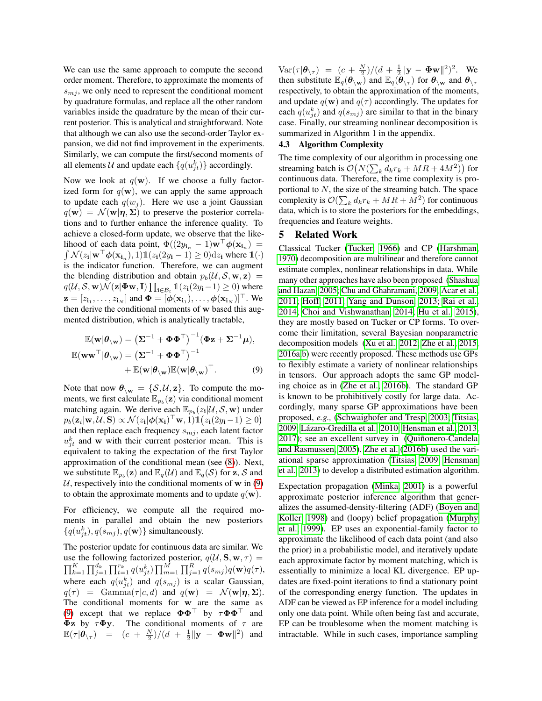We can use the same approach to compute the second order moment. Therefore, to approximate the moments of  $s_{mi}$ , we only need to represent the conditional moment by quadrature formulas, and replace all the other random variables inside the quadrature by the mean of their current posterior. This is analytical and straightforward. Note that although we can also use the second-order Taylor expansion, we did not find improvement in the experiments. Similarly, we can compute the first/second moments of all elements  $\mathcal U$  and update each  $\{q(u_{jt}^k)\}\)$  accordingly.

Now we look at  $q(\mathbf{w})$ . If we choose a fully factorized form for  $q(\mathbf{w})$ , we can apply the same approach to update each  $q(w_j)$ . Here we use a joint Gaussian  $q(\mathbf{w}) = \mathcal{N}(\mathbf{w}|\boldsymbol{\eta}, \boldsymbol{\Sigma})$  to preserve the posterior correlations and to further enhance the inference quality. To achieve a closed-form update, we observe that the likelihood of each data point,  $\Phi((2y_{i_n} - 1)\mathbf{w}^\top \boldsymbol{\phi}(\mathbf{x}_{i_n}) =$  $\int \mathcal{N}(z_i | \mathbf{w}^\top \boldsymbol{\phi}(\mathbf{x}_{i_n}), 1) \mathbb{1}(z_i(2y_i - 1) \ge 0) dz_i$  where  $\mathbb{1}(\cdot)$ is the indicator function. Therefore, we can augment the blending distribution and obtain  $p_b(\mathcal{U}, \mathcal{S}, \mathbf{w}, \mathbf{z}) =$  $q(\mathcal{U}, \mathcal{S}, \mathbf{w})\overline{\mathcal{N}}(\mathbf{z}|\mathbf{\Phi w}, \mathbf{I}) \prod_{\mathbf{i} \in \mathcal{B}_t} \mathbb{1}(z_{\mathbf{i}}(2y_{\mathbf{i}}-1) \geq 0)$  where  $\mathbf{z} = [z_{\mathbf{i}_1}, \dots, z_{\mathbf{i}_N}]$  and  $\mathbf{\Phi} = [\phi(\mathbf{x}_{\mathbf{i}_1}), \dots, \phi(\mathbf{x}_{\mathbf{i}_N})]^\top$ . We then derive the conditional moments of w based this augmented distribution, which is analytically tractable,

$$
\mathbb{E}(\mathbf{w}|\boldsymbol{\theta}_{\setminus\mathbf{w}}) = (\boldsymbol{\Sigma}^{-1} + \boldsymbol{\Phi}\boldsymbol{\Phi}^{\top})^{-1}(\boldsymbol{\Phi}\mathbf{z} + \boldsymbol{\Sigma}^{-1}\boldsymbol{\mu}),
$$
  

$$
\mathbb{E}(\mathbf{w}\mathbf{w}^{\top}|\boldsymbol{\theta}_{\setminus\mathbf{w}}) = (\boldsymbol{\Sigma}^{-1} + \boldsymbol{\Phi}\boldsymbol{\Phi}^{\top})^{-1} + \mathbb{E}(\mathbf{w}|\boldsymbol{\theta}_{\setminus\mathbf{w}})\mathbb{E}(\mathbf{w}|\boldsymbol{\theta}_{\setminus\mathbf{w}})^{\top}.
$$
 (9)

Note that now  $\theta_{\setminus w} = \{S, \mathcal{U}, z\}$ . To compute the moments, we first calculate  $\mathbb{E}_{p_b}(\mathbf{z})$  via conditional moment matching again. We derive each  $\mathbb{E}_{p_b}(z_i | \mathcal{U}, \mathcal{S}, \mathbf{w})$  under  $p_b(\mathbf{z}_i | \mathbf{w}, \mathcal{U}, \mathbf{S}) \propto \mathcal{N}(z_i | \boldsymbol{\phi}(\mathbf{x_i})^\top \mathbf{w}, 1) \mathbb{1}(z_i(2y_i - 1) \geq 0)$ and then replace each frequency  $s_{mj}$ , each latent factor  $u_{jt}^k$  and w with their current posterior mean. This is equivalent to taking the expectation of the first Taylor approximation of the conditional mean (see [\(8\)](#page-4-0)). Next, we substitute  $\mathbb{E}_{p_b}(\mathbf{z})$  and  $\mathbb{E}_q(\mathcal{U})$  and  $\mathbb{E}_q(\mathcal{S})$  for  $\mathbf{z}, \mathcal{S}$  and U, respectively into the conditional moments of w in  $(9)$ to obtain the approximate moments and to update  $q(\mathbf{w})$ .

For efficiency, we compute all the required moments in parallel and obtain the new posteriors  $\{q(u_{jt}^k), q(s_{mj}), q(\mathbf{w})\}$  simultaneously.

The posterior update for continuous data are similar. We use the following factorized posterior,  $q(\mathcal{U}, \mathbf{S}, \mathbf{w}, \tau) =$  $\prod_{k=1}^K \prod_{j=1}^{d_k} \prod_{t=1}^{r_k} q(u_{jt}^k) \prod_{m=1}^M \prod_{j=1}^R q(s_{mj}) q(\mathbf{w}) q(\tau),$ where each  $q(u_{jt}^k)$  and  $q(s_{mj})$  is a scalar Gaussian,  $q(\tau) = \text{Gamma}(\tau | c, d) \text{ and } q(\mathbf{w}) = \mathcal{N}(\mathbf{w} | \boldsymbol{\eta}, \boldsymbol{\Sigma}).$ The conditional moments for w are the same as [\(9\)](#page-5-0) except that we replace  $\Phi \Phi^{\top}$  by  $\tau \Phi \Phi^{\top}$  and **Φz** by  $\tau$ **Φy**. The conditional moments of  $\tau$  are  $\mathbb{E}(\tau|\theta_{\setminus \tau}) = (c + \frac{N}{2})/(d + \frac{1}{2}||\mathbf{y} - \Phi \mathbf{w}||^2)$  and

 $\text{Var}(\tau | \theta_{\setminus \tau}) = (c + \frac{N}{2})/(d + \frac{1}{2} ||\mathbf{y} - \mathbf{\Phi} \mathbf{w}||^2)^2$ . We then substitute  $\mathbb{E}_q(\theta_{\setminus w})$  and  $\mathbb{E}_q(\bar{\theta}_{\setminus \tau})$  for  $\theta_{\setminus w}$  and  $\theta_{\setminus \tau}$ respectively, to obtain the approximation of the moments, and update  $q(\mathbf{w})$  and  $q(\tau)$  accordingly. The updates for each  $q(u_{jt}^k)$  and  $q(s_{mj})$  are similar to that in the binary case. Finally, our streaming nonlinear decomposition is summarized in Algorithm 1 in the appendix.

#### 4.3 Algorithm Complexity

The time complexity of our algorithm in processing one streaming batch is  $\mathcal{O}\big(N(\sum_k d_k r_k + MR + 4M^2)\big)$  for continuous data. Therefore, the time complexity is proportional to N, the size of the streaming batch. The space complexity is  $\mathcal{O}(\sum_k d_k r_k + MR + M^2)$  for continuous data, which is to store the posteriors for the embeddings, frequencies and feature weights.

## 5 Related Work

<span id="page-5-0"></span>Classical Tucker [\(Tucker, 1966\)](#page-9-11) and CP [\(Harshman,](#page-9-10) [1970\)](#page-9-10) decomposition are multilinear and therefore cannot estimate complex, nonlinear relationships in data. While many other approaches have also been proposed [\(Shashua](#page-9-20) [and Hazan, 2005;](#page-9-20) [Chu and Ghahramani, 2009;](#page-9-0) [Acar et al.,](#page-9-21) [2011;](#page-9-21) [Hoff, 2011;](#page-9-22) [Yang and Dunson, 2013;](#page-9-23) [Rai et al.,](#page-9-24) [2014;](#page-9-24) [Choi and Vishwanathan, 2014;](#page-9-2) [Hu et al., 2015\)](#page-9-25), they are mostly based on Tucker or CP forms. To overcome their limitation, several Bayesian nonparametric decomposition models [\(Xu et al., 2012;](#page-9-26) [Zhe et al., 2015,](#page-9-27) [2016a](#page-9-28)[,b\)](#page-9-3) were recently proposed. These methods use GPs to flexibly estimate a variety of nonlinear relationships in tensors. Our approach adopts the same GP modeling choice as in [\(Zhe et al., 2016b\)](#page-9-3). The standard GP is known to be prohibitively costly for large data. Accordingly, many sparse GP approximations have been proposed, *e.g.,* [\(Schwaighofer and Tresp, 2003;](#page-9-29) [Titsias,](#page-9-7) [2009;](#page-9-7) Lázaro-Gredilla et al., 2010; [Hensman et al., 2013,](#page-9-13) [2017\)](#page-9-31); see an excellent survey in (Quiñonero-Candela [and Rasmussen, 2005\)](#page-9-32). [Zhe et al.](#page-9-3) [\(2016b\)](#page-9-3) used the variational sparse approximation [\(Titsias, 2009;](#page-9-7) [Hensman](#page-9-13) [et al., 2013\)](#page-9-13) to develop a distributed estimation algorithm.

Expectation propagation [\(Minka, 2001\)](#page-9-18) is a powerful approximate posterior inference algorithm that generalizes the assumed-density-filtering (ADF) [\(Boyen and](#page-9-17) [Koller, 1998\)](#page-9-17) and (loopy) belief propagation [\(Murphy](#page-9-33) [et al., 1999\)](#page-9-33). EP uses an exponential-family factor to approximate the likelihood of each data point (and also the prior) in a probabilistic model, and iteratively update each approximate factor by moment matching, which is essentially to minimize a local KL divergence. EP updates are fixed-point iterations to find a stationary point of the corresponding energy function. The updates in ADF can be viewed as EP inference for a model including only one data point. While often being fast and accurate, EP can be troublesome when the moment matching is intractable. While in such cases, importance sampling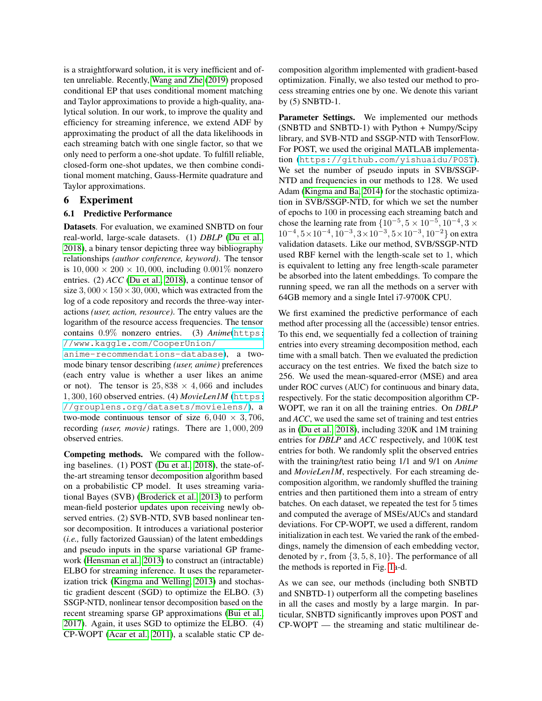is a straightforward solution, it is very inefficient and often unreliable. Recently, [Wang and Zhe](#page-9-19) [\(2019\)](#page-9-19) proposed conditional EP that uses conditional moment matching and Taylor approximations to provide a high-quality, analytical solution. In our work, to improve the quality and efficiency for streaming inference, we extend ADF by approximating the product of all the data likelihoods in each streaming batch with one single factor, so that we only need to perform a one-shot update. To fulfill reliable, closed-form one-shot updates, we then combine conditional moment matching, Gauss-Hermite quadrature and Taylor approximations.

## 6 Experiment

#### 6.1 Predictive Performance

Datasets. For evaluation, we examined SNBTD on four real-world, large-scale datasets. (1) *DBLP* [\(Du et al.,](#page-9-5) [2018\)](#page-9-5), a binary tensor depicting three way bibliography relationships *(author conference, keyword)*. The tensor is  $10,000 \times 200 \times 10,000$ , including  $0.001\%$  nonzero entries. (2) *ACC* [\(Du et al., 2018\)](#page-9-5), a continue tensor of size  $3,000 \times 150 \times 30,000$ , which was extracted from the log of a code repository and records the three-way interactions *(user, action, resource)*. The entry values are the logarithm of the resource access frequencies. The tensor contains 0.9% nonzero entries. (3) *Anime*([https:](https://www.kaggle.com/CooperUnion/anime-recommendations-database) [//www.kaggle.com/CooperUnion/](https://www.kaggle.com/CooperUnion/anime-recommendations-database)

[anime-recommendations-database](https://www.kaggle.com/CooperUnion/anime-recommendations-database)), a twomode binary tensor describing *(user, anime)* preferences (each entry value is whether a user likes an anime or not). The tensor is  $25,838 \times 4,066$  and includes 1, 300, 160 observed entries. (4) *MovieLen1M* ([https:](https://grouplens.org/datasets/movielens/) [//grouplens.org/datasets/movielens/](https://grouplens.org/datasets/movielens/)), a two-mode continuous tensor of size  $6,040 \times 3,706$ , recording *(user, movie)* ratings. There are 1, 000, 209 observed entries.

Competing methods. We compared with the following baselines. (1) POST [\(Du et al., 2018\)](#page-9-5), the state-ofthe-art streaming tensor decomposition algorithm based on a probabilistic CP model. It uses streaming variational Bayes (SVB) [\(Broderick et al., 2013\)](#page-9-6) to perform mean-field posterior updates upon receiving newly observed entries. (2) SVB-NTD, SVB based nonlinear tensor decomposition. It introduces a variational posterior (*i.e.,* fully factorized Gaussian) of the latent embeddings and pseudo inputs in the sparse variational GP framework [\(Hensman et al., 2013\)](#page-9-13) to construct an (intractable) ELBO for streaming inference. It uses the reparameterization trick [\(Kingma and Welling, 2013\)](#page-9-15) and stochastic gradient descent (SGD) to optimize the ELBO. (3) SSGP-NTD, nonlinear tensor decomposition based on the recent streaming sparse GP approximations [\(Bui et al.,](#page-9-8) [2017\)](#page-9-8). Again, it uses SGD to optimize the ELBO. (4) CP-WOPT [\(Acar et al., 2011\)](#page-9-21), a scalable static CP decomposition algorithm implemented with gradient-based optimization. Finally, we also tested our method to process streaming entries one by one. We denote this variant by (5) SNBTD-1.

Parameter Settings. We implemented our methods (SNBTD and SNBTD-1) with Python + Numpy/Scipy library, and SVB-NTD and SSGP-NTD with TensorFlow. For POST, we used the original MATLAB implementation (<https://github.com/yishuaidu/POST>). We set the number of pseudo inputs in SVB/SSGP-NTD and frequencies in our methods to 128. We used Adam [\(Kingma and Ba, 2014\)](#page-9-34) for the stochastic optimization in SVB/SSGP-NTD, for which we set the number of epochs to 100 in processing each streaming batch and chose the learning rate from  $\{10^{-5}, 5 \times 10^{-5}, 10^{-4}, 3 \times$  $10^{-4}, 5 \times 10^{-4}, 10^{-3}, 3 \times 10^{-3}, 5 \times 10^{-3}, 10^{-2}$ } on extra validation datasets. Like our method, SVB/SSGP-NTD used RBF kernel with the length-scale set to 1, which is equivalent to letting any free length-scale parameter be absorbed into the latent embeddings. To compare the running speed, we ran all the methods on a server with 64GB memory and a single Intel i7-9700K CPU.

We first examined the predictive performance of each method after processing all the (accessible) tensor entries. To this end, we sequentially fed a collection of training entries into every streaming decomposition method, each time with a small batch. Then we evaluated the prediction accuracy on the test entries. We fixed the batch size to 256. We used the mean-squared-error (MSE) and area under ROC curves (AUC) for continuous and binary data, respectively. For the static decomposition algorithm CP-WOPT, we ran it on all the training entries. On *DBLP* and *ACC*, we used the same set of training and test entries as in [\(Du et al., 2018\)](#page-9-5), including 320K and 1M training entries for *DBLP* and *ACC* respectively, and 100K test entries for both. We randomly split the observed entries with the training/test ratio being 1/1 and 9/1 on *Anime* and *MovieLen1M*, respectively. For each streaming decomposition algorithm, we randomly shuffled the training entries and then partitioned them into a stream of entry batches. On each dataset, we repeated the test for 5 times and computed the average of MSEs/AUCs and standard deviations. For CP-WOPT, we used a different, random initialization in each test. We varied the rank of the embeddings, namely the dimension of each embedding vector, denoted by r, from  $\{3, 5, 8, 10\}$ . The performance of all the methods is reported in Fig. [1a](#page-7-0)-d.

As we can see, our methods (including both SNBTD and SNBTD-1) outperform all the competing baselines in all the cases and mostly by a large margin. In particular, SNBTD significantly improves upon POST and CP-WOPT — the streaming and static multilinear de-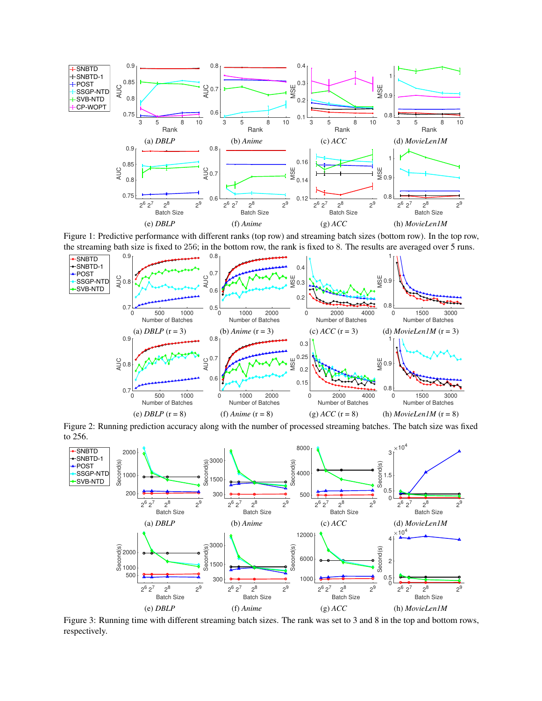<span id="page-7-0"></span>

Figure 1: Predictive performance with different ranks (top row) and streaming batch sizes (bottom row). In the top row, the streaming bath size is fixed to 256; in the bottom row, the rank is fixed to 8. The results are averaged over 5 runs.

<span id="page-7-1"></span>

Figure 2: Running prediction accuracy along with the number of processed streaming batches. The batch size was fixed to 256.

<span id="page-7-2"></span>

Figure 3: Running time with different streaming batch sizes. The rank was set to 3 and 8 in the top and bottom rows, respectively.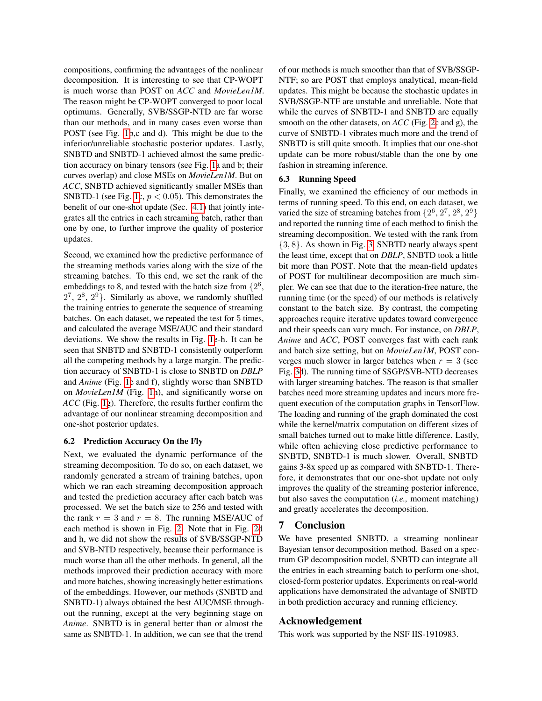compositions, confirming the advantages of the nonlinear decomposition. It is interesting to see that CP-WOPT is much worse than POST on *ACC* and *MovieLen1M*. The reason might be CP-WOPT converged to poor local optimums. Generally, SVB/SSGP-NTD are far worse than our methods, and in many cases even worse than POST (see Fig. [1b](#page-7-0),c and d). This might be due to the inferior/unreliable stochastic posterior updates. Lastly, SNBTD and SNBTD-1 achieved almost the same prediction accuracy on binary tensors (see Fig. [1a](#page-7-0) and b; their curves overlap) and close MSEs on *MovieLen1M*. But on *ACC*, SNBTD achieved significantly smaller MSEs than SNBTD-1 (see Fig. [1c](#page-7-0),  $p < 0.05$ ). This demonstrates the benefit of our one-shot update (Sec. [4.1\)](#page-3-3) that jointly integrates all the entries in each streaming batch, rather than one by one, to further improve the quality of posterior updates.

Second, we examined how the predictive performance of the streaming methods varies along with the size of the streaming batches. To this end, we set the rank of the embeddings to 8, and tested with the batch size from  $\{2^6,$  $2^7$ ,  $2^8$ ,  $2^9$ }. Similarly as above, we randomly shuffled the training entries to generate the sequence of streaming batches. On each dataset, we repeated the test for 5 times, and calculated the average MSE/AUC and their standard deviations. We show the results in Fig. [1e](#page-7-0)-h. It can be seen that SNBTD and SNBTD-1 consistently outperform all the competing methods by a large margin. The prediction accuracy of SNBTD-1 is close to SNBTD on *DBLP* and *Anime* (Fig. [1e](#page-7-0) and f), slightly worse than SNBTD on *MovieLen1M* (Fig. [1h](#page-7-0)), and significantly worse on *ACC* (Fig. [1g](#page-7-0)). Therefore, the results further confirm the advantage of our nonlinear streaming decomposition and one-shot posterior updates.

#### 6.2 Prediction Accuracy On the Fly

Next, we evaluated the dynamic performance of the streaming decomposition. To do so, on each dataset, we randomly generated a stream of training batches, upon which we ran each streaming decomposition approach and tested the prediction accuracy after each batch was processed. We set the batch size to 256 and tested with the rank  $r = 3$  and  $r = 8$ . The running MSE/AUC of each method is shown in Fig. [2.](#page-7-1) Note that in Fig. [2d](#page-7-1) and h, we did not show the results of SVB/SSGP-NTD and SVB-NTD respectively, because their performance is much worse than all the other methods. In general, all the methods improved their prediction accuracy with more and more batches, showing increasingly better estimations of the embeddings. However, our methods (SNBTD and SNBTD-1) always obtained the best AUC/MSE throughout the running, except at the very beginning stage on *Anime*. SNBTD is in general better than or almost the same as SNBTD-1. In addition, we can see that the trend of our methods is much smoother than that of SVB/SSGP-NTF; so are POST that employs analytical, mean-field updates. This might be because the stochastic updates in SVB/SSGP-NTF are unstable and unreliable. Note that while the curves of SNBTD-1 and SNBTD are equally smooth on the other datasets, on *ACC* (Fig. [2c](#page-7-1) and g), the curve of SNBTD-1 vibrates much more and the trend of SNBTD is still quite smooth. It implies that our one-shot update can be more robust/stable than the one by one fashion in streaming inference.

#### 6.3 Running Speed

Finally, we examined the efficiency of our methods in terms of running speed. To this end, on each dataset, we varied the size of streaming batches from  $\{2^6, 2^7, 2^8, 2^9\}$ and reported the running time of each method to finish the streaming decomposition. We tested with the rank from {3, 8}. As shown in Fig. [3,](#page-7-2) SNBTD nearly always spent the least time, except that on *DBLP*, SNBTD took a little bit more than POST. Note that the mean-field updates of POST for multilinear decomposition are much simpler. We can see that due to the iteration-free nature, the running time (or the speed) of our methods is relatively constant to the batch size. By contrast, the competing approaches require iterative updates toward convergence and their speeds can vary much. For instance, on *DBLP*, *Anime* and *ACC*, POST converges fast with each rank and batch size setting, but on *MovieLen1M*, POST converges much slower in larger batches when  $r = 3$  (see Fig. [3d](#page-7-2)). The running time of SSGP/SVB-NTD decreases with larger streaming batches. The reason is that smaller batches need more streaming updates and incurs more frequent execution of the computation graphs in TensorFlow. The loading and running of the graph dominated the cost while the kernel/matrix computation on different sizes of small batches turned out to make little difference. Lastly, while often achieving close predictive performance to SNBTD, SNBTD-1 is much slower. Overall, SNBTD gains 3-8x speed up as compared with SNBTD-1. Therefore, it demonstrates that our one-shot update not only improves the quality of the streaming posterior inference, but also saves the computation (*i.e.,* moment matching) and greatly accelerates the decomposition.

# 7 Conclusion

We have presented SNBTD, a streaming nonlinear Bayesian tensor decomposition method. Based on a spectrum GP decomposition model, SNBTD can integrate all the entries in each streaming batch to perform one-shot, closed-form posterior updates. Experiments on real-world applications have demonstrated the advantage of SNBTD in both prediction accuracy and running efficiency.

#### Acknowledgement

This work was supported by the NSF IIS-1910983.